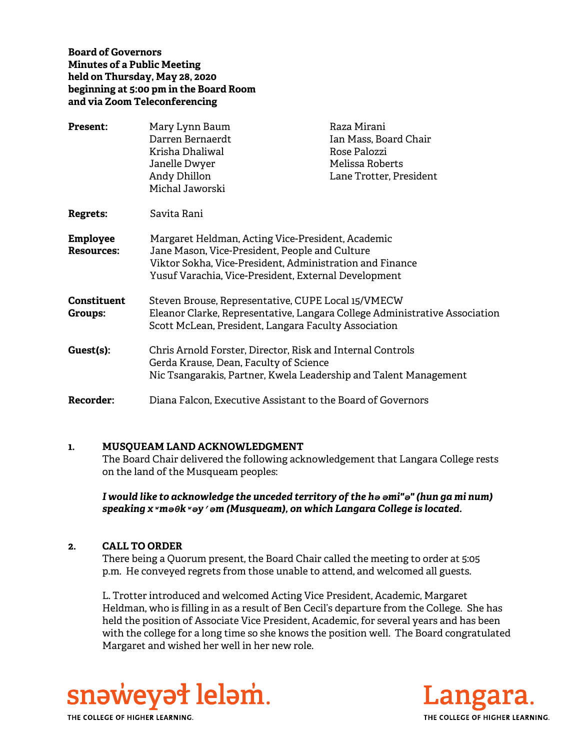**Board of Governors Minutes of a Public Meeting held on Thursday, May 28, 2020 beginning at 5:00 pm in the Board Room and via Zoom Teleconferencing** 

| <b>Present:</b>                      | Mary Lynn Baum<br>Darren Bernaerdt<br>Krisha Dhaliwal<br>Janelle Dwyer<br>Andy Dhillon                                                                                                                                  | Raza Mirani<br>Ian Mass, Board Chair<br>Rose Palozzi<br>Melissa Roberts<br>Lane Trotter, President |
|--------------------------------------|-------------------------------------------------------------------------------------------------------------------------------------------------------------------------------------------------------------------------|----------------------------------------------------------------------------------------------------|
|                                      | Michal Jaworski                                                                                                                                                                                                         |                                                                                                    |
| <b>Regrets:</b>                      | Savita Rani                                                                                                                                                                                                             |                                                                                                    |
| <b>Employee</b><br><b>Resources:</b> | Margaret Heldman, Acting Vice-President, Academic<br>Jane Mason, Vice-President, People and Culture<br>Viktor Sokha, Vice-President, Administration and Finance<br>Yusuf Varachia, Vice-President, External Development |                                                                                                    |
| Constituent<br>Groups:               | Steven Brouse, Representative, CUPE Local 15/VMECW<br>Eleanor Clarke, Representative, Langara College Administrative Association<br>Scott McLean, President, Langara Faculty Association                                |                                                                                                    |
| Guest(s):                            | Chris Arnold Forster, Director, Risk and Internal Controls<br>Gerda Krause, Dean, Faculty of Science<br>Nic Tsangarakis, Partner, Kwela Leadership and Talent Management                                                |                                                                                                    |
| <b>Recorder:</b>                     | Diana Falcon, Executive Assistant to the Board of Governors                                                                                                                                                             |                                                                                                    |

#### **1. MUSQUEAM LAND ACKNOWLEDGMENT**

The Board Chair delivered the following acknowledgement that Langara College rests on the land of the Musqueam peoples:

*I would like to acknowledge the unceded territory of the hә әmi"ә" (hun ga mi num) speaking xʷmәθkʷәy̓әm (Musqueam), on which Langara College is located.*

#### **2. CALL TO ORDER**

There being a Quorum present, the Board Chair called the meeting to order at 5:05 p.m. He conveyed regrets from those unable to attend, and welcomed all guests.

L. Trotter introduced and welcomed Acting Vice President, Academic, Margaret Heldman, who is filling in as a result of Ben Cecil's departure from the College. She has held the position of Associate Vice President, Academic, for several years and has been with the college for a long time so she knows the position well. The Board congratulated Margaret and wished her well in her new role.



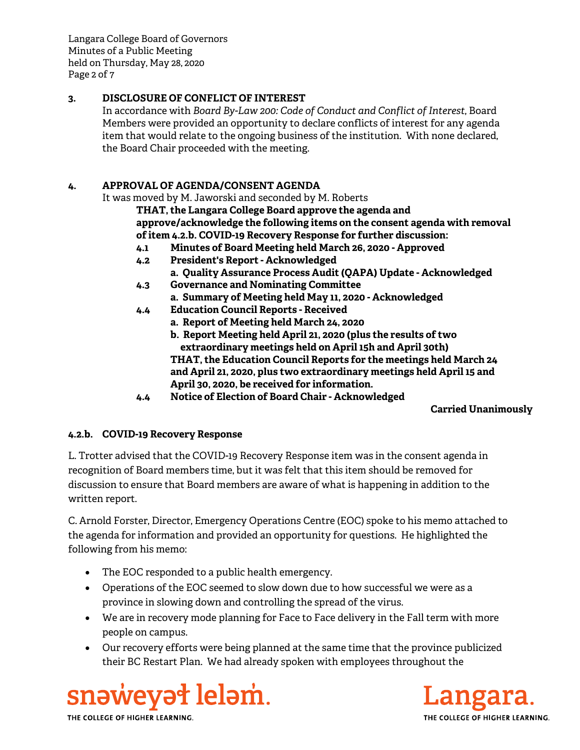Langara College Board of Governors Minutes of a Public Meeting held on Thursday, May 28, 2020 Page 2 of 7

# **3. DISCLOSURE OF CONFLICT OF INTEREST**

In accordance with *Board By-Law 200: Code of Conduct and Conflict of Interest*, Board Members were provided an opportunity to declare conflicts of interest for any agenda item that would relate to the ongoing business of the institution. With none declared, the Board Chair proceeded with the meeting.

# **4. APPROVAL OF AGENDA/CONSENT AGENDA**

It was moved by M. Jaworski and seconded by M. Roberts

**THAT, the Langara College Board approve the agenda and approve/acknowledge the following items on the consent agenda with removal of item 4.2.b. COVID-19 Recovery Response for further discussion:**

- **4.1 Minutes of Board Meeting held March 26, 2020 Approved**
- **4.2 President's Report Acknowledged**
	- **a. Quality Assurance Process Audit (QAPA) Update Acknowledged**
- **4.3 Governance and Nominating Committee a. Summary of Meeting held May 11, 2020 - Acknowledged**
- **4.4 Education Council Reports Received**
	- **a. Report of Meeting held March 24, 2020**
		- **b. Report Meeting held April 21, 2020 (plus the results of two extraordinary meetings held on April 15h and April 30th) THAT, the Education Council Reports for the meetings held March 24**
		- **and April 21, 2020, plus two extraordinary meetings held April 15 and April 30, 2020, be received for information.**
- **4.4 Notice of Election of Board Chair Acknowledged**

## **Carried Unanimously**

## **4.2.b. COVID-19 Recovery Response**

L. Trotter advised that the COVID-19 Recovery Response item was in the consent agenda in recognition of Board members time, but it was felt that this item should be removed for discussion to ensure that Board members are aware of what is happening in addition to the written report.

C. Arnold Forster, Director, Emergency Operations Centre (EOC) spoke to his memo attached to the agenda for information and provided an opportunity for questions. He highlighted the following from his memo:

- The EOC responded to a public health emergency.
- Operations of the EOC seemed to slow down due to how successful we were as a province in slowing down and controlling the spread of the virus.
- We are in recovery mode planning for Face to Face delivery in the Fall term with more people on campus.
- Our recovery efforts were being planned at the same time that the province publicized their BC Restart Plan. We had already spoken with employees throughout the



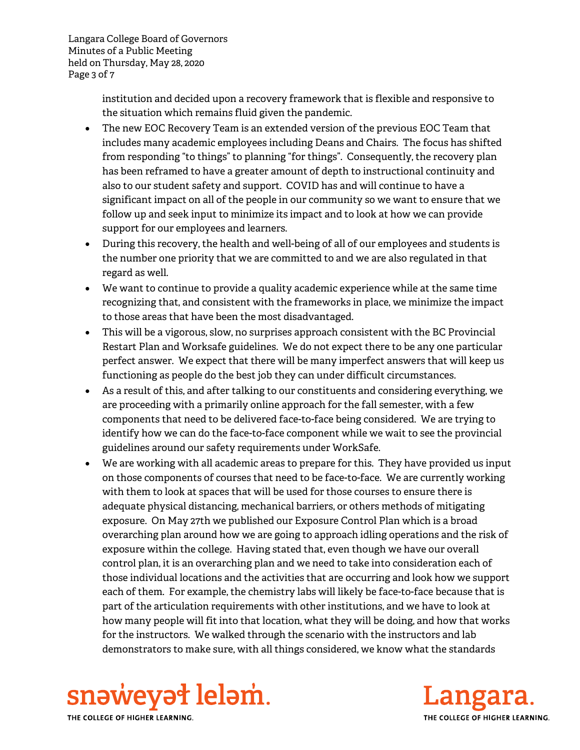Langara College Board of Governors Minutes of a Public Meeting held on Thursday, May 28, 2020 Page 3 of 7

> institution and decided upon a recovery framework that is flexible and responsive to the situation which remains fluid given the pandemic.

- The new EOC Recovery Team is an extended version of the previous EOC Team that includes many academic employees including Deans and Chairs. The focus has shifted from responding "to things" to planning "for things". Consequently, the recovery plan has been reframed to have a greater amount of depth to instructional continuity and also to our student safety and support. COVID has and will continue to have a significant impact on all of the people in our community so we want to ensure that we follow up and seek input to minimize its impact and to look at how we can provide support for our employees and learners.
- During this recovery, the health and well-being of all of our employees and students is the number one priority that we are committed to and we are also regulated in that regard as well.
- We want to continue to provide a quality academic experience while at the same time recognizing that, and consistent with the frameworks in place, we minimize the impact to those areas that have been the most disadvantaged.
- This will be a vigorous, slow, no surprises approach consistent with the BC Provincial Restart Plan and Worksafe guidelines. We do not expect there to be any one particular perfect answer. We expect that there will be many imperfect answers that will keep us functioning as people do the best job they can under difficult circumstances.
- As a result of this, and after talking to our constituents and considering everything, we are proceeding with a primarily online approach for the fall semester, with a few components that need to be delivered face-to-face being considered. We are trying to identify how we can do the face-to-face component while we wait to see the provincial guidelines around our safety requirements under WorkSafe.
- We are working with all academic areas to prepare for this. They have provided us input on those components of courses that need to be face-to-face. We are currently working with them to look at spaces that will be used for those courses to ensure there is adequate physical distancing, mechanical barriers, or others methods of mitigating exposure. On May 27th we published our Exposure Control Plan which is a broad overarching plan around how we are going to approach idling operations and the risk of exposure within the college. Having stated that, even though we have our overall control plan, it is an overarching plan and we need to take into consideration each of those individual locations and the activities that are occurring and look how we support each of them. For example, the chemistry labs will likely be face-to-face because that is part of the articulation requirements with other institutions, and we have to look at how many people will fit into that location, what they will be doing, and how that works for the instructors. We walked through the scenario with the instructors and lab demonstrators to make sure, with all things considered, we know what the standards



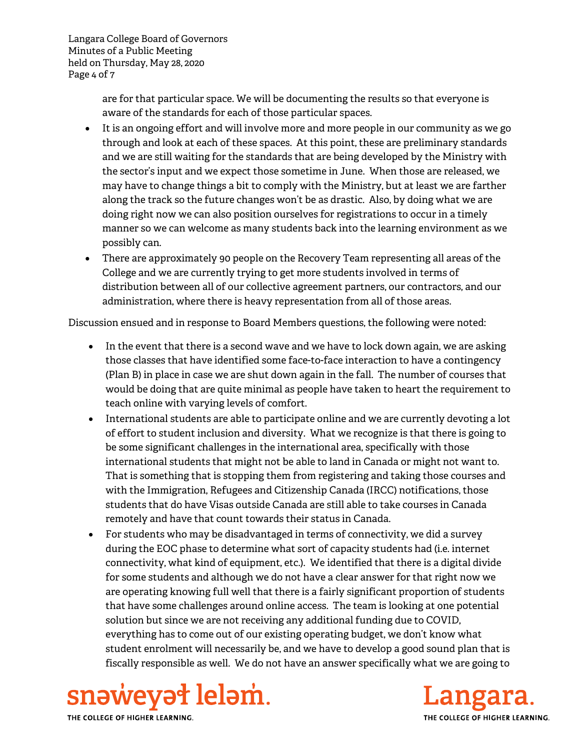Langara College Board of Governors Minutes of a Public Meeting held on Thursday, May 28, 2020 Page 4 of 7

> are for that particular space. We will be documenting the results so that everyone is aware of the standards for each of those particular spaces.

- It is an ongoing effort and will involve more and more people in our community as we go through and look at each of these spaces. At this point, these are preliminary standards and we are still waiting for the standards that are being developed by the Ministry with the sector's input and we expect those sometime in June. When those are released, we may have to change things a bit to comply with the Ministry, but at least we are farther along the track so the future changes won't be as drastic. Also, by doing what we are doing right now we can also position ourselves for registrations to occur in a timely manner so we can welcome as many students back into the learning environment as we possibly can.
- There are approximately 90 people on the Recovery Team representing all areas of the College and we are currently trying to get more students involved in terms of distribution between all of our collective agreement partners, our contractors, and our administration, where there is heavy representation from all of those areas.

Discussion ensued and in response to Board Members questions, the following were noted:

- In the event that there is a second wave and we have to lock down again, we are asking those classes that have identified some face-to-face interaction to have a contingency (Plan B) in place in case we are shut down again in the fall. The number of courses that would be doing that are quite minimal as people have taken to heart the requirement to teach online with varying levels of comfort.
- International students are able to participate online and we are currently devoting a lot of effort to student inclusion and diversity. What we recognize is that there is going to be some significant challenges in the international area, specifically with those international students that might not be able to land in Canada or might not want to. That is something that is stopping them from registering and taking those courses and with the Immigration, Refugees and Citizenship Canada (IRCC) notifications, those students that do have Visas outside Canada are still able to take courses in Canada remotely and have that count towards their status in Canada.
- For students who may be disadvantaged in terms of connectivity, we did a survey during the EOC phase to determine what sort of capacity students had (i.e. internet connectivity, what kind of equipment, etc.). We identified that there is a digital divide for some students and although we do not have a clear answer for that right now we are operating knowing full well that there is a fairly significant proportion of students that have some challenges around online access. The team is looking at one potential solution but since we are not receiving any additional funding due to COVID, everything has to come out of our existing operating budget, we don't know what student enrolment will necessarily be, and we have to develop a good sound plan that is fiscally responsible as well. We do not have an answer specifically what we are going to



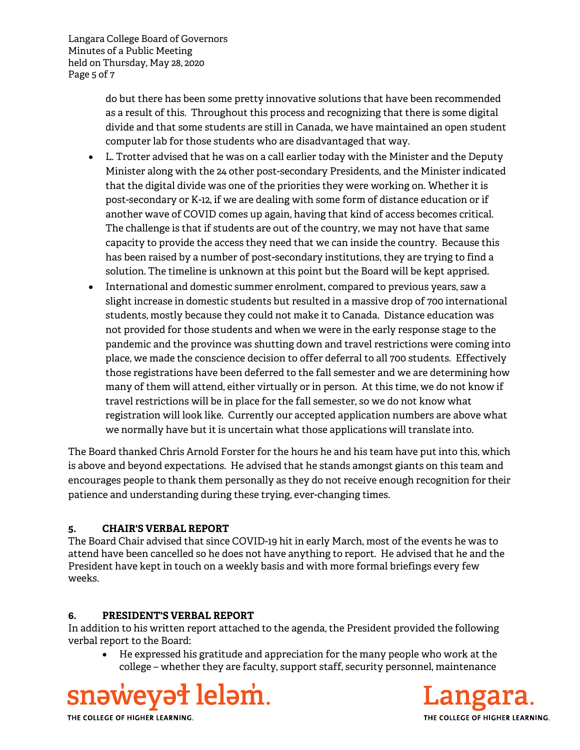Langara College Board of Governors Minutes of a Public Meeting held on Thursday, May 28, 2020 Page 5 of 7

> do but there has been some pretty innovative solutions that have been recommended as a result of this. Throughout this process and recognizing that there is some digital divide and that some students are still in Canada, we have maintained an open student computer lab for those students who are disadvantaged that way.

- L. Trotter advised that he was on a call earlier today with the Minister and the Deputy Minister along with the 24 other post-secondary Presidents, and the Minister indicated that the digital divide was one of the priorities they were working on. Whether it is post-secondary or K-12, if we are dealing with some form of distance education or if another wave of COVID comes up again, having that kind of access becomes critical. The challenge is that if students are out of the country, we may not have that same capacity to provide the access they need that we can inside the country. Because this has been raised by a number of post-secondary institutions, they are trying to find a solution. The timeline is unknown at this point but the Board will be kept apprised.
- International and domestic summer enrolment, compared to previous years, saw a slight increase in domestic students but resulted in a massive drop of 700 international students, mostly because they could not make it to Canada. Distance education was not provided for those students and when we were in the early response stage to the pandemic and the province was shutting down and travel restrictions were coming into place, we made the conscience decision to offer deferral to all 700 students. Effectively those registrations have been deferred to the fall semester and we are determining how many of them will attend, either virtually or in person. At this time, we do not know if travel restrictions will be in place for the fall semester, so we do not know what registration will look like. Currently our accepted application numbers are above what we normally have but it is uncertain what those applications will translate into.

The Board thanked Chris Arnold Forster for the hours he and his team have put into this, which is above and beyond expectations. He advised that he stands amongst giants on this team and encourages people to thank them personally as they do not receive enough recognition for their patience and understanding during these trying, ever-changing times.

# **5. CHAIR'S VERBAL REPORT**

The Board Chair advised that since COVID-19 hit in early March, most of the events he was to attend have been cancelled so he does not have anything to report. He advised that he and the President have kept in touch on a weekly basis and with more formal briefings every few weeks.

## **6. PRESIDENT'S VERBAL REPORT**

In addition to his written report attached to the agenda, the President provided the following verbal report to the Board:

 He expressed his gratitude and appreciation for the many people who work at the college – whether they are faculty, support staff, security personnel, maintenance



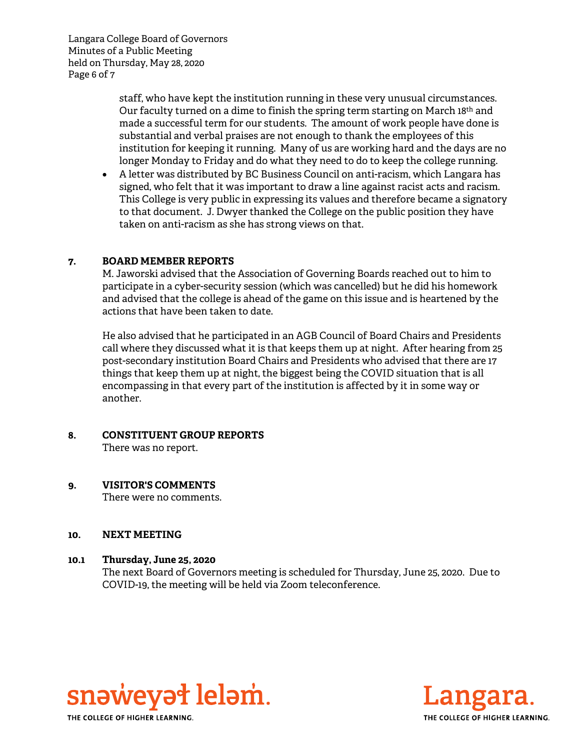Langara College Board of Governors Minutes of a Public Meeting held on Thursday, May 28, 2020 Page 6 of 7

> staff, who have kept the institution running in these very unusual circumstances. Our faculty turned on a dime to finish the spring term starting on March 18th and made a successful term for our students. The amount of work people have done is substantial and verbal praises are not enough to thank the employees of this institution for keeping it running. Many of us are working hard and the days are no longer Monday to Friday and do what they need to do to keep the college running.

 A letter was distributed by BC Business Council on anti-racism, which Langara has signed, who felt that it was important to draw a line against racist acts and racism. This College is very public in expressing its values and therefore became a signatory to that document. J. Dwyer thanked the College on the public position they have taken on anti-racism as she has strong views on that.

## **7. BOARD MEMBER REPORTS**

M. Jaworski advised that the Association of Governing Boards reached out to him to participate in a cyber-security session (which was cancelled) but he did his homework and advised that the college is ahead of the game on this issue and is heartened by the actions that have been taken to date.

He also advised that he participated in an AGB Council of Board Chairs and Presidents call where they discussed what it is that keeps them up at night. After hearing from 25 post-secondary institution Board Chairs and Presidents who advised that there are 17 things that keep them up at night, the biggest being the COVID situation that is all encompassing in that every part of the institution is affected by it in some way or another.

# **8. CONSTITUENT GROUP REPORTS**

There was no report.

## **9. VISITOR'S COMMENTS**

There were no comments.

#### **10. NEXT MEETING**

#### **10.1 Thursday, June 25, 2020**

The next Board of Governors meeting is scheduled for Thursday, June 25, 2020. Due to COVID-19, the meeting will be held via Zoom teleconference.